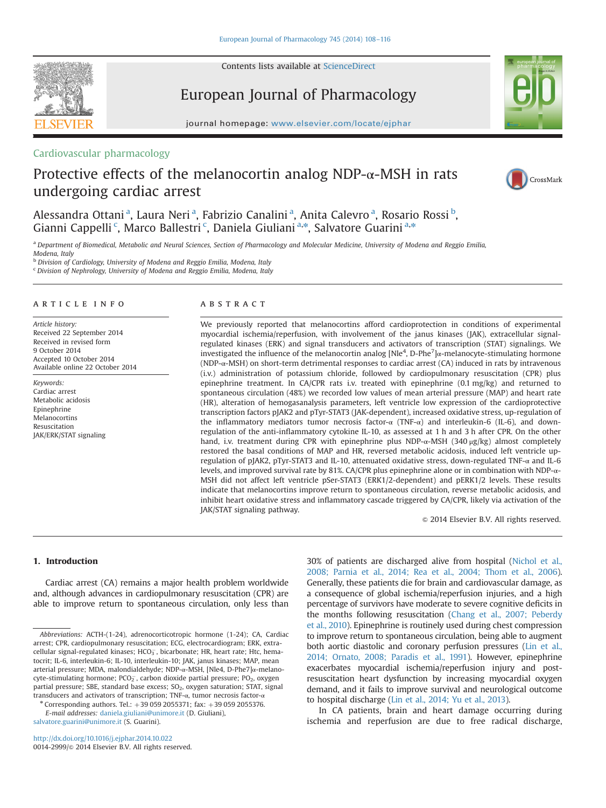Contents lists available at [ScienceDirect](www.sciencedirect.com/science/journal/00142999)



European Journal of Pharmacology

journal homepage: <www.elsevier.com/locate/ejphar>

# Cardiovascular pharmacology

# Protective effects of the melanocortin analog NDP- $\alpha$ -MSH in rats undergoing cardiac arrest



a Department of Biomedical, Metabolic and Neural Sciences, Section of Pharmacology and Molecular Medicine, University of Modena and Reggio Emilia, Modena, Italy

**b Division of Cardiology, University of Modena and Reggio Emilia, Modena, Italy** 

<sup>c</sup> Division of Nephrology, University of Modena and Reggio Emilia, Modena, Italy

### article info

Article history: Received 22 September 2014 Received in revised form 9 October 2014 Accepted 10 October 2014 Available online 22 October 2014

Keywords: Cardiac arrest Metabolic acidosis Epinephrine **Melanocortins** Resuscitation JAK/ERK/STAT signaling

# ABSTRACT

We previously reported that melanocortins afford cardioprotection in conditions of experimental myocardial ischemia/reperfusion, with involvement of the janus kinases (JAK), extracellular signalregulated kinases (ERK) and signal transducers and activators of transcription (STAT) signalings. We investigated the influence of the melanocortin analog  $[Nle^4, D-Phe^7]$ <sub>α</sub>-melanocyte-stimulating hormone (NDP- $\alpha$ -MSH) on short-term detrimental responses to cardiac arrest (CA) induced in rats by intravenous (i.v.) administration of potassium chloride, followed by cardiopulmonary resuscitation (CPR) plus epinephrine treatment. In CA/CPR rats i.v. treated with epinephrine (0.1 mg/kg) and returned to spontaneous circulation (48%) we recorded low values of mean arterial pressure (MAP) and heart rate (HR), alteration of hemogasanalysis parameters, left ventricle low expression of the cardioprotective transcription factors pJAK2 and pTyr-STAT3 (JAK-dependent), increased oxidative stress, up-regulation of the inflammatory mediators tumor necrosis factor- $\alpha$  (TNF- $\alpha$ ) and interleukin-6 (IL-6), and downregulation of the anti-inflammatory cytokine IL-10, as assessed at 1 h and 3 h after CPR. On the other hand, i.v. treatment during CPR with epinephrine plus NDP- $\alpha$ -MSH (340  $\mu$ g/kg) almost completely restored the basal conditions of MAP and HR, reversed metabolic acidosis, induced left ventricle upregulation of pJAK2, pTyr-STAT3 and IL-10, attenuated oxidative stress, down-regulated TNF-α and IL-6 levels, and improved survival rate by 81%. CA/CPR plus epinephrine alone or in combination with NDP-α-MSH did not affect left ventricle pSer-STAT3 (ERK1/2-dependent) and pERK1/2 levels. These results indicate that melanocortins improve return to spontaneous circulation, reverse metabolic acidosis, and inhibit heart oxidative stress and inflammatory cascade triggered by CA/CPR, likely via activation of the JAK/STAT signaling pathway.

 $\odot$  2014 Elsevier B.V. All rights reserved.

### 1. Introduction

Cardiac arrest (CA) remains a major health problem worldwide and, although advances in cardiopulmonary resuscitation (CPR) are able to improve return to spontaneous circulation, only less than

 $*$  Corresponding authors. Tel.:  $+390592055371$ ; fax:  $+390592055376$ . E-mail addresses: [daniela.giuliani@unimore.it](mailto:daniela.giuliani@unimore.it) (D. Giuliani),

[salvatore.guarini@unimore.it](mailto:salvatore.guarini@unimore.it) (S. Guarini).

<http://dx.doi.org/10.1016/j.ejphar.2014.10.022> 0014-2999/© 2014 Elsevier B.V. All rights reserved. 30% of patients are discharged alive from hospital ([Nichol et al.,](#page-8-0) [2008; Parnia et al., 2014; Rea et al., 2004; Thom et al., 2006\)](#page-8-0). Generally, these patients die for brain and cardiovascular damage, as a consequence of global ischemia/reperfusion injuries, and a high percentage of survivors have moderate to severe cognitive deficits in the months following resuscitation ([Chang et al., 2007; Peberdy](#page-8-0) [et al., 2010\)](#page-8-0). Epinephrine is routinely used during chest compression to improve return to spontaneous circulation, being able to augment both aortic diastolic and coronary perfusion pressures [\(Lin et al.,](#page-7-0) [2014; Ornato, 2008; Paradis et al., 1991](#page-8-0)). However, epinephrine exacerbates myocardial ischemia/reperfusion injury and postresuscitation heart dysfunction by increasing myocardial oxygen demand, and it fails to improve survival and neurological outcome to hospital discharge ([Lin et al., 2014; Yu et al., 2013](#page-8-0)).

In CA patients, brain and heart damage occurring during ischemia and reperfusion are due to free radical discharge,



CrossMark

Abbreviations: ACTH-(1-24), adrenocorticotropic hormone (1-24); CA, Cardiac arrest; CPR, cardiopulmonary resuscitation; ECG, electrocardiogram; ERK, extracellular signal-regulated kinases; HCO $_3^-$ , bicarbonate; HR, heart rate; Htc, hematocrit; IL-6, interleukin-6; IL-10, interleukin-10; JAK, janus kinases; MAP, mean arterial pressure; MDA, malondialdehyde; NDP-α-MSH, [Nle4, D-Phe7]α-melanocyte-stimulating hormone; PCO $_2^-$ , carbon dioxide partial pressure; PO $_2$ , oxygen partial pressure; SBE, standard base excess;  $SO_2$ , oxygen saturation; STAT, signal transducers and activators of transcription; TNF- $\alpha$ , tumor necrosis factor- $\alpha$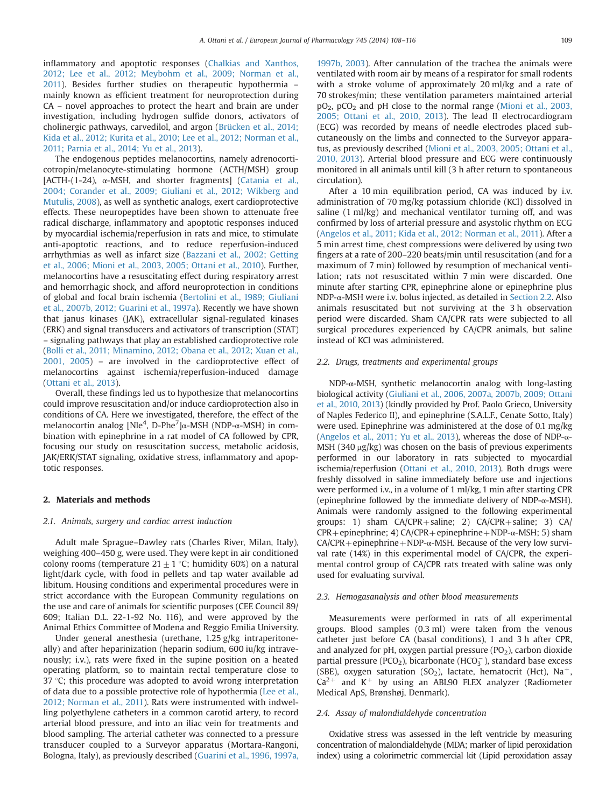inflammatory and apoptotic responses ([Chalkias and Xanthos,](#page-7-0) [2012; Lee et al., 2012; Meybohm et al., 2009; Norman et al.,](#page-8-0) [2011](#page-8-0)). Besides further studies on therapeutic hypothermia – mainly known as efficient treatment for neuroprotection during CA – novel approaches to protect the heart and brain are under investigation, including hydrogen sulfide donors, activators of cholinergic pathways, carvedilol, and argon ([Brücken et al., 2014;](#page-7-0) [Kida et al., 2012; Kurita et al., 2010; Lee et al., 2012; Norman et al.,](#page-8-0) [2011; Parnia et al., 2014; Yu et al., 2013](#page-8-0)).

The endogenous peptides melanocortins, namely adrenocorticotropin/melanocyte-stimulating hormone (ACTH/MSH) group  $[ACTH-(1-24), \alpha-MSH,$  and shorter fragments] ([Catania et al.,](#page-7-0) [2004; Corander et al., 2009; Giuliani et al., 2012; Wikberg and](#page-8-0) [Mutulis, 2008\)](#page-8-0), as well as synthetic analogs, exert cardioprotective effects. These neuropeptides have been shown to attenuate free radical discharge, inflammatory and apoptotic responses induced by myocardial ischemia/reperfusion in rats and mice, to stimulate anti-apoptotic reactions, and to reduce reperfusion-induced arrhythmias as well as infarct size ([Bazzani et al., 2002; Getting](#page-7-0) [et al., 2006; Mioni et al., 2003, 2005; Ottani et al., 2010](#page-8-0)). Further, melanocortins have a resuscitating effect during respiratory arrest and hemorrhagic shock, and afford neuroprotection in conditions of global and focal brain ischemia [\(Bertolini et al., 1989; Giuliani](#page-7-0) [et al., 2007b, 2012; Guarini et al., 1997a](#page-7-0)). Recently we have shown that janus kinases (JAK), extracellular signal-regulated kinases (ERK) and signal transducers and activators of transcription (STAT) – signaling pathways that play an established cardioprotective role ([Bolli et al., 2011; Minamino, 2012; Obana et al., 2012; Xuan et al.,](#page-8-0) [2001, 2005](#page-8-0)) – are involved in the cardioprotective effect of melanocortins against ischemia/reperfusion-induced damage ([Ottani et al., 2013](#page-8-0)).

Overall, these findings led us to hypothesize that melanocortins could improve resuscitation and/or induce cardioprotection also in conditions of CA. Here we investigated, therefore, the effect of the melanocortin analog [Nle<sup>4</sup>, D-Phe<sup>7</sup>]α-MSH (NDP-α-MSH) in combination with epinephrine in a rat model of CA followed by CPR, focusing our study on resuscitation success, metabolic acidosis, JAK/ERK/STAT signaling, oxidative stress, inflammatory and apoptotic responses.

### 2. Materials and methods

### 2.1. Animals, surgery and cardiac arrest induction

Adult male Sprague–Dawley rats (Charles River, Milan, Italy), weighing 400–450 g, were used. They were kept in air conditioned colony rooms (temperature  $21 \pm 1$  °C; humidity 60%) on a natural light/dark cycle, with food in pellets and tap water available ad libitum. Housing conditions and experimental procedures were in strict accordance with the European Community regulations on the use and care of animals for scientific purposes (CEE Council 89/ 609; Italian D.L. 22-1-92 No. 116), and were approved by the Animal Ethics Committee of Modena and Reggio Emilia University.

Under general anesthesia (urethane, 1.25 g/kg intraperitoneally) and after heparinization (heparin sodium, 600 iu/kg intravenously; i.v.), rats were fixed in the supine position on a heated operating platform, so to maintain rectal temperature close to 37  $\degree$ C; this procedure was adopted to avoid wrong interpretation of data due to a possible protective role of hypothermia [\(Lee et al.,](#page-7-0) [2012; Norman et al., 2011](#page-8-0)). Rats were instrumented with indwelling polyethylene catheters in a common carotid artery, to record arterial blood pressure, and into an iliac vein for treatments and blood sampling. The arterial catheter was connected to a pressure transducer coupled to a Surveyor apparatus (Mortara-Rangoni, Bologna, Italy), as previously described [\(Guarini et al., 1996, 1997a,](#page-7-0) [1997b, 2003](#page-7-0)). After cannulation of the trachea the animals were ventilated with room air by means of a respirator for small rodents with a stroke volume of approximately 20 ml/kg and a rate of 70 strokes/min; these ventilation parameters maintained arterial  $pO<sub>2</sub>$ ,  $pCO<sub>2</sub>$  and pH close to the normal range ([Mioni et al., 2003,](#page-8-0) [2005; Ottani et al., 2010, 2013\)](#page-8-0). The lead II electrocardiogram (ECG) was recorded by means of needle electrodes placed subcutaneously on the limbs and connected to the Surveyor apparatus, as previously described [\(Mioni et al., 2003, 2005; Ottani et al.,](#page-8-0) [2010, 2013](#page-8-0)). Arterial blood pressure and ECG were continuously monitored in all animals until kill (3 h after return to spontaneous circulation).

After a 10 min equilibration period, CA was induced by i.v. administration of 70 mg/kg potassium chloride (KCl) dissolved in saline (1 ml/kg) and mechanical ventilator turning off, and was confirmed by loss of arterial pressure and asystolic rhythm on ECG ([Angelos et al., 2011; Kida et al., 2012; Norman et al., 2011](#page-8-0)). After a 5 min arrest time, chest compressions were delivered by using two fingers at a rate of 200–220 beats/min until resuscitation (and for a maximum of 7 min) followed by resumption of mechanical ventilation; rats not resuscitated within 7 min were discarded. One minute after starting CPR, epinephrine alone or epinephrine plus NDP-α-MSH were i.v. bolus injected, as detailed in Section 2.2. Also animals resuscitated but not surviving at the 3 h observation period were discarded. Sham CA/CPR rats were subjected to all surgical procedures experienced by CA/CPR animals, but saline instead of KCl was administered.

#### 2.2. Drugs, treatments and experimental groups

NDP-α-MSH, synthetic melanocortin analog with long-lasting biological activity [\(Giuliani et al., 2006, 2007a, 2007b, 2009; Ottani](#page-8-0) [et al., 2010, 2013\)](#page-8-0) (kindly provided by Prof. Paolo Grieco, University of Naples Federico II), and epinephrine (S.A.L.F., Cenate Sotto, Italy) were used. Epinephrine was administered at the dose of 0.1 mg/kg [\(Angelos et al., 2011; Yu et al., 2013\)](#page-8-0), whereas the dose of NDP-α-MSH (340  $\mu$ g/kg) was chosen on the basis of previous experiments performed in our laboratory in rats subjected to myocardial ischemia/reperfusion [\(Ottani et al., 2010, 2013\)](#page-8-0). Both drugs were freshly dissolved in saline immediately before use and injections were performed i.v., in a volume of 1 ml/kg, 1 min after starting CPR (epinephrine followed by the immediate delivery of NDP-α-MSH). Animals were randomly assigned to the following experimental groups: 1) sham  $CA/CPR + saline$ ; 2)  $CA/CPR + saline$ ; 3)  $CA/$  $CPR + epinephrine; 4) CA/CPR + epinephrine + NDP-α-MSH; 5) sham$  $CA/CPR + epinephrine + NDP-α-MSH.$  Because of the very low survival rate (14%) in this experimental model of CA/CPR, the experimental control group of CA/CPR rats treated with saline was only used for evaluating survival.

#### 2.3. Hemogasanalysis and other blood measurements

Measurements were performed in rats of all experimental groups. Blood samples (0.3 ml) were taken from the venous catheter just before CA (basal conditions), 1 and 3 h after CPR, and analyzed for pH, oxygen partial pressure  $(PO<sub>2</sub>)$ , carbon dioxide partial pressure (PCO<sub>2</sub>), bicarbonate (HCO $_3^-$ ), standard base excess (SBE), oxygen saturation (SO<sub>2</sub>), lactate, hematocrit (Hct), Na<sup>+</sup>,  $Ca^{2+}$  and K<sup>+</sup> by using an ABL90 FLEX analyzer (Radiometer Medical ApS, Brønshøj, Denmark).

#### 2.4. Assay of malondialdehyde concentration

Oxidative stress was assessed in the left ventricle by measuring concentration of malondialdehyde (MDA; marker of lipid peroxidation index) using a colorimetric commercial kit (Lipid peroxidation assay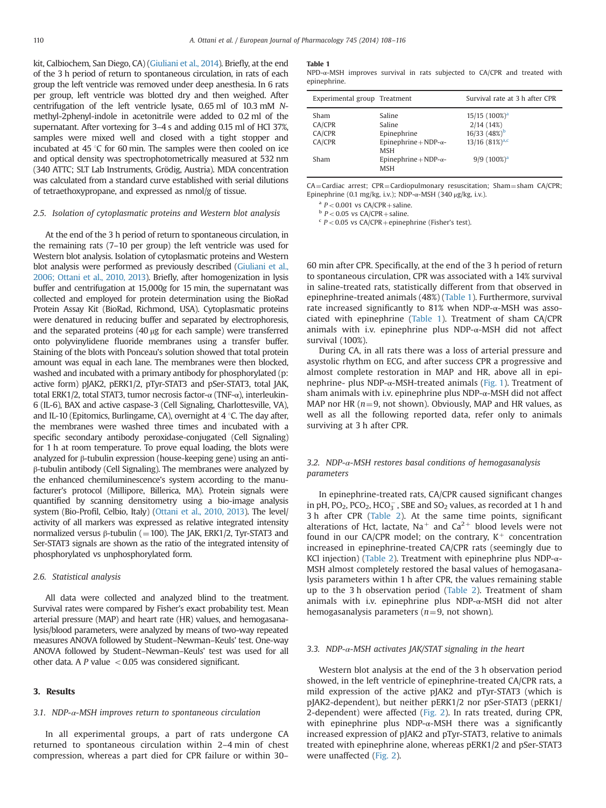kit, Calbiochem, San Diego, CA) [\(Giuliani et al., 2014\)](#page-7-0). Briefly, at the end of the 3 h period of return to spontaneous circulation, in rats of each group the left ventricle was removed under deep anesthesia. In 6 rats per group, left ventricle was blotted dry and then weighed. After centrifugation of the left ventricle lysate, 0.65 ml of 10.3 mM Nmethyl-2phenyl-indole in acetonitrile were added to 0.2 ml of the supernatant. After vortexing for 3–4 s and adding 0.15 ml of HCl 37%, samples were mixed well and closed with a tight stopper and incubated at 45  $\degree$ C for 60 min. The samples were then cooled on ice and optical density was spectrophotometrically measured at 532 nm (340 ATTC; SLT Lab Instruments, Grödig, Austria). MDA concentration was calculated from a standard curve established with serial dilutions of tetraethoxypropane, and expressed as nmol/g of tissue.

### 2.5. Isolation of cytoplasmatic proteins and Western blot analysis

At the end of the 3 h period of return to spontaneous circulation, in the remaining rats (7–10 per group) the left ventricle was used for Western blot analysis. Isolation of cytoplasmatic proteins and Western blot analysis were performed as previously described [\(Giuliani et al.,](#page-7-0) [2006; Ottani et al., 2010, 2013](#page-8-0)). Briefly, after homogenization in lysis buffer and centrifugation at 15,000g for 15 min, the supernatant was collected and employed for protein determination using the BioRad Protein Assay Kit (BioRad, Richmond, USA). Cytoplasmatic proteins were denatured in reducing buffer and separated by electrophoresis, and the separated proteins  $(40 \mu g)$  for each sample) were transferred onto polyvinylidene fluoride membranes using a transfer buffer. Staining of the blots with Ponceau's solution showed that total protein amount was equal in each lane. The membranes were then blocked, washed and incubated with a primary antibody for phosphorylated (p: active form) pJAK2, pERK1/2, pTyr-STAT3 and pSer-STAT3, total JAK, total ERK1/2, total STAT3, tumor necrosis factor-α (TNF-α), interleukin-6 (IL-6), BAX and active caspase-3 (Cell Signaling, Charlottesville, VA), and IL-10 (Epitomics, Burlingame, CA), overnight at  $4^{\circ}$ C. The day after, the membranes were washed three times and incubated with a specific secondary antibody peroxidase-conjugated (Cell Signaling) for 1 h at room temperature. To prove equal loading, the blots were analyzed for β-tubulin expression (house-keeping gene) using an antiβ-tubulin antibody (Cell Signaling). The membranes were analyzed by the enhanced chemiluminescence's system according to the manufacturer's protocol (Millipore, Billerica, MA). Protein signals were quantified by scanning densitometry using a bio-image analysis system (Bio-Profil, Celbio, Italy) [\(Ottani et al., 2010, 2013](#page-8-0)). The level/ activity of all markers was expressed as relative integrated intensity normalized versus β-tubulin (= 100). The JAK, ERK1/2, Tyr-STAT3 and Ser-STAT3 signals are shown as the ratio of the integrated intensity of phosphorylated vs unphosphorylated form.

### 2.6. Statistical analysis

All data were collected and analyzed blind to the treatment. Survival rates were compared by Fisher's exact probability test. Mean arterial pressure (MAP) and heart rate (HR) values, and hemogasanalysis/blood parameters, were analyzed by means of two-way repeated measures ANOVA followed by Student–Newman–Keuls' test. One-way ANOVA followed by Student–Newman–Keuls' test was used for all other data. A P value  $< 0.05$  was considered significant.

### 3. Results

#### 3.1. NDP- $\alpha$ -MSH improves return to spontaneous circulation

In all experimental groups, a part of rats undergone CA returned to spontaneous circulation within 2–4 min of chest compression, whereas a part died for CPR failure or within 30–

#### Table 1

NPD-α-MSH improves survival in rats subjected to CA/CPR and treated with epinephrine.

| Experimental group Treatment |                                             | Survival rate at 3 h after CPR  |
|------------------------------|---------------------------------------------|---------------------------------|
| Sham                         | Saline                                      | $15/15$ (100%) <sup>a</sup>     |
| CA/CPR                       | Saline                                      | 2/14(14%)                       |
| CA/CPR                       | Epinephrine                                 | $16/33$ $(48\%)^b$              |
| CA/CPR                       | Epinephrine + NDP- $\alpha$ -<br><b>MSH</b> | $13/16$ $(81\%)$ <sup>a,c</sup> |
| Sham                         | Epinephrine + NDP- $\alpha$ -<br><b>MSH</b> | $9/9(100\%)^a$                  |

CA=Cardiac arrest; CPR=Cardiopulmonary resuscitation; Sham=sham CA/CPR; Epinephrine (0.1 mg/kg, i.v.); NDP-α-MSH (340 μg/kg, i.v.).

<sup>a</sup> P < 0.001 vs CA/CPR + saline.<br><sup>b</sup> P < 0.05 vs CA/CPR + saline.<br><sup>c</sup> P < 0.05 vs CA/CPR + epinephrine (Fisher's test).

60 min after CPR. Specifically, at the end of the 3 h period of return to spontaneous circulation, CPR was associated with a 14% survival in saline-treated rats, statistically different from that observed in epinephrine-treated animals (48%) (Table 1). Furthermore, survival rate increased significantly to 81% when NDP-α-MSH was associated with epinephrine (Table 1). Treatment of sham CA/CPR animals with i.v. epinephrine plus NDP-α-MSH did not affect survival (100%).

During CA, in all rats there was a loss of arterial pressure and asystolic rhythm on ECG, and after success CPR a progressive and almost complete restoration in MAP and HR, above all in epinephrine- plus NDP-α-MSH-treated animals ([Fig. 1\)](#page-3-0). Treatment of sham animals with i.v. epinephrine plus NDP-α-MSH did not affect MAP nor HR ( $n=9$ , not shown). Obviously, MAP and HR values, as well as all the following reported data, refer only to animals surviving at 3 h after CPR.

### 3.2. NDP- $\alpha$ -MSH restores basal conditions of hemogasanalysis parameters

In epinephrine-treated rats, CA/CPR caused significant changes in pH,  $PO_2$ ,  $PCO_2$ ,  $HCO_3^-$ , SBE and SO<sub>2</sub> values, as recorded at 1 h and 3 h after CPR [\(Table 2](#page-3-0)). At the same time points, significant alterations of Hct, lactate, Na<sup>+</sup> and Ca<sup>2+</sup> blood levels were not found in our CA/CPR model; on the contrary,  $K^+$  concentration increased in epinephrine-treated CA/CPR rats (seemingly due to KCl injection) [\(Table 2\)](#page-3-0). Treatment with epinephrine plus NDP-α-MSH almost completely restored the basal values of hemogasanalysis parameters within 1 h after CPR, the values remaining stable up to the 3 h observation period ([Table 2\)](#page-3-0). Treatment of sham animals with i.v. epinephrine plus NDP-α-MSH did not alter hemogasanalysis parameters ( $n=9$ , not shown).

### 3.3. NDP- $\alpha$ -MSH activates JAK/STAT signaling in the heart

Western blot analysis at the end of the 3 h observation period showed, in the left ventricle of epinephrine-treated CA/CPR rats, a mild expression of the active pJAK2 and pTyr-STAT3 (which is pJAK2-dependent), but neither pERK1/2 nor pSer-STAT3 (pERK1/ 2-dependent) were affected [\(Fig. 2\)](#page-4-0). In rats treated, during CPR, with epinephrine plus  $NDP-\alpha-MSH$  there was a significantly increased expression of pJAK2 and pTyr-STAT3, relative to animals treated with epinephrine alone, whereas pERK1/2 and pSer-STAT3 were unaffected [\(Fig. 2\)](#page-4-0).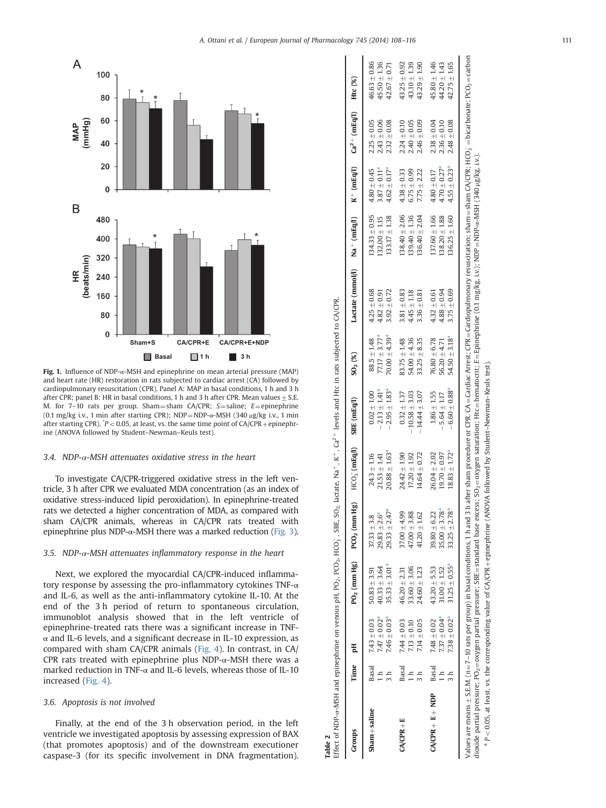<span id="page-3-0"></span>

Fig. 1. Influence of NDP-α-MSH and epinephrine on mean arterial pressure (MAP) and heart rate (HR) restoration in rats subjected to cardiac arrest (CA) followed by cardiopulmonary resuscitation (CPR). Panel A: MAP in basal conditions, 1 h and 3 h after CPR; panel B: HR in basal conditions, 1 h and 3 h after CPR. Mean values  $\pm$  S.E. M. for 7–10 rats per group. Sham=sham CA/CPR; S=saline; E=epinephrine (0.1 mg/kg i.v., 1 min after starting CPR); NDP=NDP- $\alpha$ -MSH (340  $\mu$ g/kg i.v., 1 min after starting CPR).  $\degree P$  < 0.05, at least, vs. the same time point of CA/CPR + epinephrine (ANOVA followed by Student–Newman–Keuls test).

#### 3.4. NDP- $\alpha$ -MSH attenuates oxidative stress in the heart

To investigate CA/CPR-triggered oxidative stress in the left ventricle, 3 h after CPR we evaluated MDA concentration (as an index of oxidative stress-induced lipid peroxidation). In epinephrine-treated rats we detected a higher concentration of MDA, as compared with sham CA/CPR animals, whereas in CA/CPR rats treated with epinephrine plus NDP- $\alpha$ -MSH there was a marked reduction [\(Fig. 3\)](#page-5-0).

### 3.5. NDP-α-MSH attenuates inflammatory response in the heart

Next, we explored the myocardial CA/CPR-induced inflammatory response by assessing the pro-inflammatory cytokines TNF-α and IL-6, as well as the anti-inflammatory cytokine IL-10. At the end of the 3 h period of return to spontaneous circulation, immunoblot analysis showed that in the left ventricle of epinephrine-treated rats there was a significant increase in TNF- $\alpha$  and IL-6 levels, and a significant decrease in IL-10 expression, as compared with sham CA/CPR animals [\(Fig. 4](#page-5-0)). In contrast, in CA/ CPR rats treated with epinephrine plus  $NDP-\alpha$ -MSH there was a marked reduction in TNF-α and IL-6 levels, whereas those of IL-10 increased [\(Fig. 4\)](#page-5-0). **EVALUAT CONSERVALUE CONSERVALUE CONSERVALUE CONSERVATION**<br> **EVALUATION EVALUAT CONSERVATIVE CONSERVATIVE CONSERVATIVE (SUPPRED)**<br> **EVALUAT CONSERVATIVE CONSERVATIVE CONSERVATIVE CONSERVATIVE CONSERVATIVE CONSERVATIVE C** 

#### 3.6. Apoptosis is not involved

Finally, at the end of the 3 h observation period, in the left ventricle we investigated apoptosis by assessing expression of BAX (that promotes apoptosis) and of the downstream executioner

| $29.33 \pm 2.47^a$<br>$37.33 \pm 3.8$<br>$29.83 \pm 2.6^4$<br>$35.33 + 3.01a$<br>$40.33 \pm 3.64$<br>$50.83 + 3.91$<br>$7.47 \pm 0.02$ <sup>a</sup><br>$7.46 + 0.03a$<br>$7.43 + 0.03$<br>Basal<br>Sham+saline | $HCO3$ (mEq/l)                  | SBE (mEq/l)                          | $SO_2(%)$                           | Lactate (mmol/l) Na + (mEq/l) $K^+$ (mEq/l) $Ca^{2+}$ (mEq/l) |                                    |                                      |                                    | Htc (%)                          |
|----------------------------------------------------------------------------------------------------------------------------------------------------------------------------------------------------------------|---------------------------------|--------------------------------------|-------------------------------------|---------------------------------------------------------------|------------------------------------|--------------------------------------|------------------------------------|----------------------------------|
|                                                                                                                                                                                                                | $24.3 + 1.16$<br>$21.53 + 1.41$ | $2.13 \pm 1.41^a$<br>$0.02 \pm 1.00$ | $77.17 \pm 3.77^a$<br>$88.5 + 1.48$ | $4.25 + 0.68$<br>$4.82 + 0.91$                                | $134.33 + 0.95$<br>$132.00 + 1.15$ | $3.87 \pm 0.11^{a}$<br>$4.80 + 0.45$ | $2.25 \pm 0.05$<br>$2.43 \pm 0.06$ | $46.63 + 0.86$<br>$45.50 + 1.36$ |
|                                                                                                                                                                                                                | $20.88 + 1.63$ <sup>a</sup>     | $-2.95 + 1.83a$                      | $70.00 + 4.39$ <sup>a</sup>         | $3.92 + 0.72$                                                 | $133.17 \pm 1.38$                  | $4.62 \pm 0.17^a$                    | $2.32 \pm 0.08$                    | $42.67 + 0.71$                   |
| $37.00 \pm 4.99$<br>$46.20 \pm 2.31$<br>$7.44 \pm 0.03$<br>Basal<br>$CA/CPR + E$                                                                                                                               | $24.42 + 1.90$                  | $0.32 + 1.37$                        | $83.75 + 1.48$                      | $3.81 + 0.83$                                                 | $138.40 + 2.06$                    | $4.38 + 0.33$                        | $2.24 \pm 0.10$                    | $43.25 + 0.92$                   |
| $47.00 + 3.88$<br>$33.60 + 3.06$<br>$7.13 + 0.10$                                                                                                                                                              | $17.20 + 1.92$                  | $-10.58 + 3.03$                      | $54.00 + 4.36$                      | $4.45 + 1.18$                                                 | $139.40 + 1.36$                    | $6.75 \pm 0.99$                      | $2.40 \pm 0.05$                    | $43.10 + 1.39$                   |
| $41.20 \pm 1.62$<br>$24.60 + 1.23$<br>$7.14 + 0.05$<br>$\frac{1}{3}$                                                                                                                                           | $14.64 + 0.72$                  | $-14.44 \pm 3.07$                    | $33.25 + 8.35$                      | $3.36 + 0.81$                                                 | $136.40 + 2.04$                    | $7.75 \pm 2.22$                      | $2.46 \pm 0.09$                    | $43.29 + 1.90$                   |
| $39.80 + 6.22$<br>$43.20 + 5.53$<br>$7.48 + 0.02$<br><b>Basal</b><br>$CA/CPR + E + NDP$                                                                                                                        | $26.04 + 2.02$                  | $1.86 + 1.55$                        | $76.80 + 6.78$                      | $4.32 + 0.61$                                                 | $137.60 + 1.66$                    | $4.80 \pm 0.17$                      | $2.38 \pm 0.04$                    | $45.80 + 1.46$                   |
| $35.00 \pm 3.78$ <sup>a</sup><br>$31.00 \pm 1.52$<br>$7.37 \pm 0.04$ <sup>a</sup>                                                                                                                              | $19.70 + 0.97$                  | $5.64 \pm 1.17$                      | $56.20 + 4.71$                      | $4.88 \pm 0.94$                                               | $138.20 + 1.88$                    | $4.70 \pm 0.27$ <sup>a</sup>         | $2.36 \pm 0.10$                    | $44.20 + 1.43$                   |
| $33.25 \pm 2.78^a$<br>$31.25 + 0.55^a$<br>$7.38 + 0.02a$                                                                                                                                                       | $18.83 + 1.72$ <sup>a</sup>     | $6.60 + 0.88^{a}$                    | $54.50 + 3.18a$                     | $3.75 + 0.69$                                                 | $136.25 + 1.60$                    | $4.55 \pm 0.23$ <sup>a</sup>         | $2.48 \pm 0.08$                    | $42.75 + 1.65$                   |

a P<0.05, at least, vs. the corresponding value of CA/CPR + epinephrine (ANOVA followed by Student-Newman-Keuls test)  $P > 0.05$ , at least, vs. the corresponding value of CA/CPR + epinephrine (ANOVA followed by Student–Newman–Keuls test).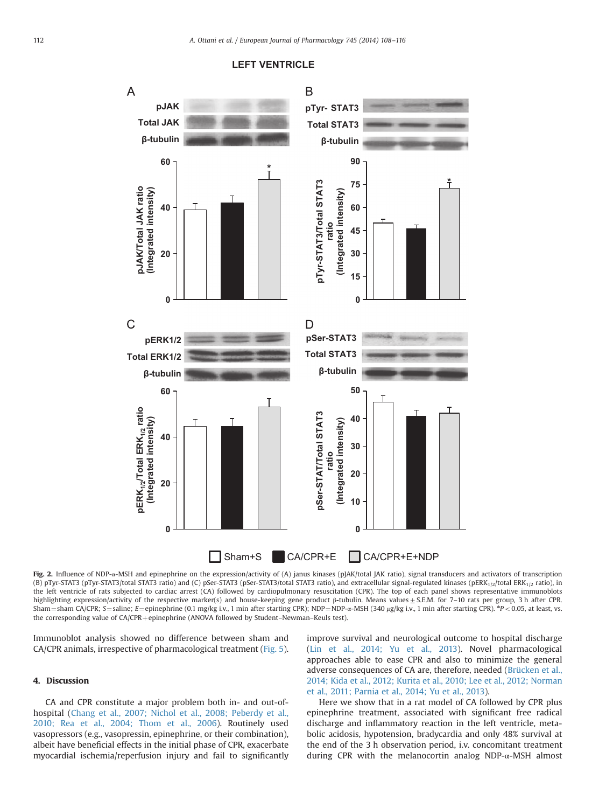<span id="page-4-0"></span>

### **LEFT VENTRICLE**

Fig. 2. Influence of NDP-α-MSH and epinephrine on the expression/activity of (A) janus kinases (pJAK/total JAK ratio), signal transducers and activators of transcription (B) pTyr-STAT3 (pTyr-STAT3/total STAT3 ratio) and (C) pSer-STAT3 (pSer-STAT3/total STAT3 ratio), and extracellular signal-regulated kinases (pERK<sub>1/2</sub>/total ERK<sub>1/2</sub> ratio), in the left ventricle of rats subjected to cardiac arrest (CA) followed by cardiopulmonary resuscitation (CPR). The top of each panel shows representative immunoblots highlighting expression/activity of the respective marker(s) and house-keeping gene product β-tubulin. Means values ± S.E.M. for 7-10 rats per group, 3 h after CPR. Sham=sham CA/CPR; S=saline; E=epinephrine (0.1 mg/kg i.v., 1 min after starting CPR); NDP=NDP-α-MSH (340 μg/kg i.v., 1 min after starting CPR). \*P<0.05, at least, vs. the corresponding value of CA/CPR+epinephrine (ANOVA followed by Student–Newman–Keuls test).

Immunoblot analysis showed no difference between sham and CA/CPR animals, irrespective of pharmacological treatment [\(Fig. 5\)](#page-6-0).

### 4. Discussion

CA and CPR constitute a major problem both in- and out-ofhospital ([Chang et al., 2007; Nichol et al., 2008; Peberdy et al.,](#page-8-0) [2010; Rea et al., 2004; Thom et al., 2006](#page-8-0)). Routinely used vasopressors (e.g., vasopressin, epinephrine, or their combination), albeit have beneficial effects in the initial phase of CPR, exacerbate myocardial ischemia/reperfusion injury and fail to significantly improve survival and neurological outcome to hospital discharge ([Lin et al., 2014; Yu et al., 2013\)](#page-8-0). Novel pharmacological approaches able to ease CPR and also to minimize the general adverse consequences of CA are, therefore, needed [\(Brücken et al.,](#page-7-0) [2014; Kida et al., 2012; Kurita et al., 2010; Lee et al., 2012; Norman](#page-8-0) [et al., 2011; Parnia et al., 2014; Yu et al., 2013\)](#page-8-0).

Here we show that in a rat model of CA followed by CPR plus epinephrine treatment, associated with significant free radical discharge and inflammatory reaction in the left ventricle, metabolic acidosis, hypotension, bradycardia and only 48% survival at the end of the 3 h observation period, i.v. concomitant treatment during CPR with the melanocortin analog NDP-α-MSH almost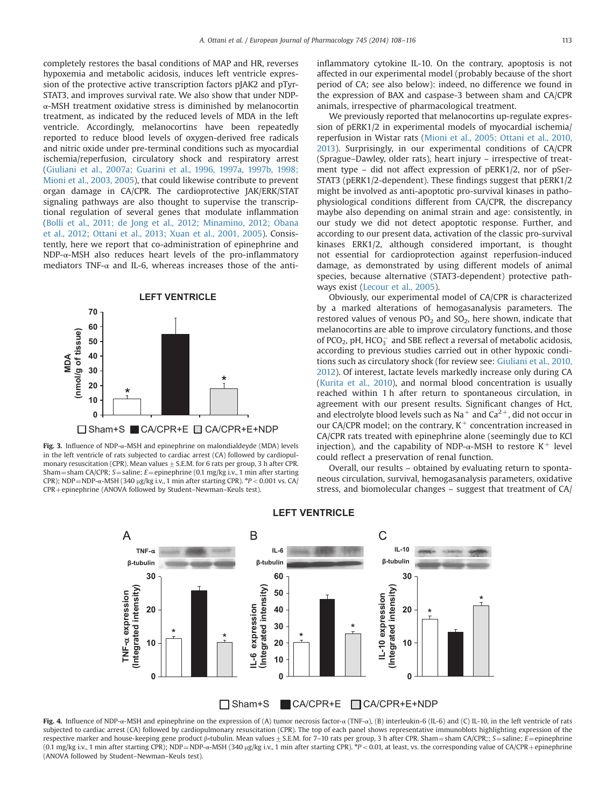<span id="page-5-0"></span>completely restores the basal conditions of MAP and HR, reverses hypoxemia and metabolic acidosis, induces left ventricle expression of the protective active transcription factors pJAK2 and pTyr-STAT3, and improves survival rate. We also show that under NDPα-MSH treatment oxidative stress is diminished by melanocortin treatment, as indicated by the reduced levels of MDA in the left ventricle. Accordingly, melanocortins have been repeatedly reported to reduce blood levels of oxygen-derived free radicals and nitric oxide under pre-terminal conditions such as myocardial ischemia/reperfusion, circulatory shock and respiratory arrest ([Giuliani et al., 2007a; Guarini et al., 1996, 1997a, 1997b, 1998;](#page-7-0) [Mioni et al., 2003, 2005\)](#page-7-0), that could likewise contribute to prevent organ damage in CA/CPR. The cardioprotective JAK/ERK/STAT signaling pathways are also thought to supervise the transcriptional regulation of several genes that modulate inflammation ([Bolli et al., 2011; de Jong et al., 2012; Minamino, 2012; Obana](#page-8-0) [et al., 2012; Ottani et al., 2013; Xuan et al., 2001, 2005\)](#page-8-0). Consistently, here we report that co-administration of epinephrine and NDP- $\alpha$ -MSH also reduces heart levels of the pro-inflammatory mediators TNF- $\alpha$  and IL-6, whereas increases those of the anti-



Fig. 3. Influence of NDP- $\alpha$ -MSH and epinephrine on malondialdeyde (MDA) levels in the left ventricle of rats subjected to cardiac arrest (CA) followed by cardiopulmonary resuscitation (CPR). Mean values  $\pm$  S.E.M. for 6 rats per group, 3 h after CPR. Sham = sham CA/CPR; S = saline; E = epinephrine (0.1 mg/kg i.v., 1 min after starting CPR); NDP=NDP-α-MSH (340 μg/kg i.v., 1 min after starting CPR).  $P < 0.001$  vs. CA/  $CPR + epinephrine (ANOVA followed by Student-Newtonan–Keuls test).$ 

inflammatory cytokine IL-10. On the contrary, apoptosis is not affected in our experimental model (probably because of the short period of CA; see also below): indeed, no difference we found in the expression of BAX and caspase-3 between sham and CA/CPR animals, irrespective of pharmacological treatment.

We previously reported that melanocortins up-regulate expression of pERK1/2 in experimental models of myocardial ischemia/ reperfusion in Wistar rats [\(Mioni et al., 2005; Ottani et al., 2010,](#page-8-0) [2013\)](#page-8-0). Surprisingly, in our experimental conditions of CA/CPR (Sprague–Dawley, older rats), heart injury – irrespective of treatment type – did not affect expression of pERK1/2, nor of pSer-STAT3 (pERK1/2-dependent). These findings suggest that pERK1/2 might be involved as anti-apoptotic pro-survival kinases in pathophysiological conditions different from CA/CPR, the discrepancy maybe also depending on animal strain and age: consistently, in our study we did not detect apoptotic response. Further, and according to our present data, activation of the classic pro-survival kinases ERK1/2, although considered important, is thought not essential for cardioprotection against reperfusion-induced damage, as demonstrated by using different models of animal species, because alternative (STAT3-dependent) protective pathways exist ([Lecour et al., 2005\)](#page-7-0).

Obviously, our experimental model of CA/CPR is characterized by a marked alterations of hemogasanalysis parameters. The restored values of venous  $PO<sub>2</sub>$  and  $SO<sub>2</sub>$ , here shown, indicate that melanocortins are able to improve circulatory functions, and those of PCO<sub>2</sub>, pH, HCO $_3^-$  and SBE reflect a reversal of metabolic acidosis, according to previous studies carried out in other hypoxic conditions such as circulatory shock (for review see: [Giuliani et al., 2010,](#page-7-0) [2012\)](#page-7-0). Of interest, lactate levels markedly increase only during CA ([Kurita et al., 2010\)](#page-7-0), and normal blood concentration is usually reached within 1 h after return to spontaneous circulation, in agreement with our present results. Significant changes of Hct, and electrolyte blood levels such as  $Na<sup>+</sup>$  and  $Ca<sup>2+</sup>$ , did not occur in our CA/CPR model; on the contrary,  $K^+$  concentration increased in CA/CPR rats treated with epinephrine alone (seemingly due to KCl injection), and the capability of NDP- $\alpha$ -MSH to restore K<sup>+</sup> level could reflect a preservation of renal function.

Overall, our results – obtained by evaluating return to spontaneous circulation, survival, hemogasanalysis parameters, oxidative stress, and biomolecular changes – suggest that treatment of CA/



### **LEFT VENTRICLE**

Fig. 4. Influence of NDP-α-MSH and epinephrine on the expression of (A) tumor necrosis factor-α (TNF-α), (B) interleukin-6 (IL-6) and (C) IL-10, in the left ventricle of rats subjected to cardiac arrest (CA) followed by cardiopulmonary resuscitation (CPR). The top of each panel shows representative immunoblots highlighting expression of the respective marker and house-keeping gene product β-tubulin. Mean values  $\pm$  S.E.M. for 7–10 rats per group, 3 h after CPR. Sham = sham CA/CPR;; S = saline; E = epinephrine (0.1 mg/kg i.v., 1 min after starting CPR); NDP=NDP-α-MSH (340 µg/kg i.v., 1 min after starting CPR).  ${}^*P$  < 0.01, at least, vs. the corresponding value of CA/CPR+epinephrine (ANOVA followed by Student–Newman–Keuls test).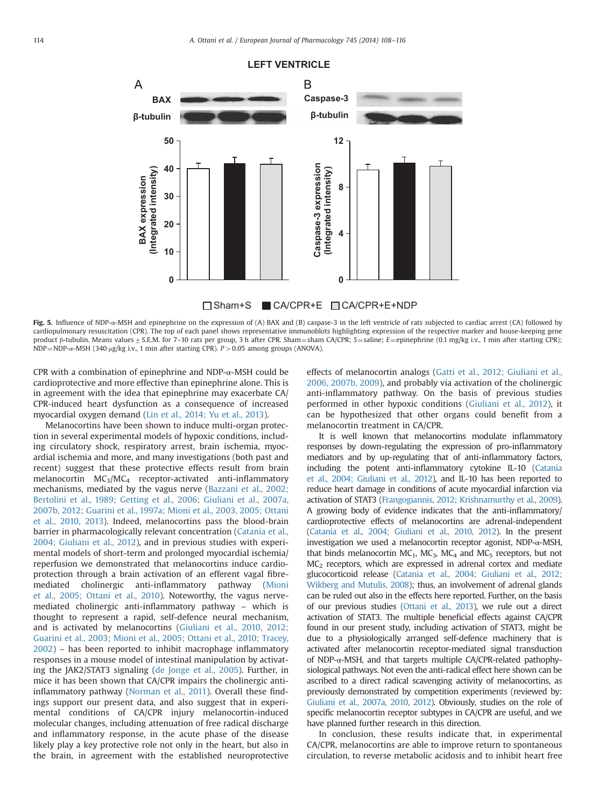### **LEFT VENTRICLE**

<span id="page-6-0"></span>

□Sham+S CA/CPR+E □CA/CPR+E+NDP

Fig. 5. Influence of NDP- $\alpha$ -MSH and epinephrine on the expression of (A) BAX and (B) caspase-3 in the left ventricle of rats subjected to cardiac arrest (CA) followed by cardiopulmonary resuscitation (CPR). The top of each panel shows representative immunoblots highlighting expression of the respective marker and house-keeping gene product β-tubulin. Means values ± S.E.M. for 7-10 rats per group, 3 h after CPR. Sham = sham CA/CPR; S = saline; E = epinephrine (0.1 mg/kg i.v., 1 min after starting CPR); NDP=NDP- $\alpha$ -MSH (340 µg/kg i.v., 1 min after starting CPR). P > 0.05 among groups (ANOVA).

CPR with a combination of epinephrine and NDP-α-MSH could be cardioprotective and more effective than epinephrine alone. This is in agreement with the idea that epinephrine may exacerbate CA/ CPR-induced heart dysfunction as a consequence of increased myocardial oxygen demand [\(Lin et al., 2014; Yu et al., 2013\)](#page-8-0).

Melanocortins have been shown to induce multi-organ protection in several experimental models of hypoxic conditions, including circulatory shock, respiratory arrest, brain ischemia, myocardial ischemia and more, and many investigations (both past and recent) suggest that these protective effects result from brain melanocortin  $MC<sub>3</sub>/MC<sub>4</sub>$  receptor-activated anti-inflammatory mechanisms, mediated by the vagus nerve [\(Bazzani et al., 2002;](#page-7-0) [Bertolini et al., 1989; Getting et al., 2006; Giuliani et al., 2007a,](#page-7-0) [2007b, 2012; Guarini et al., 1997a; Mioni et al., 2003, 2005; Ottani](#page-8-0) [et al., 2010, 2013\)](#page-8-0). Indeed, melanocortins pass the blood-brain barrier in pharmacologically relevant concentration [\(Catania et al.,](#page-7-0) [2004; Giuliani et al., 2012\)](#page-7-0), and in previous studies with experimental models of short-term and prolonged myocardial ischemia/ reperfusion we demonstrated that melanocortins induce cardioprotection through a brain activation of an efferent vagal fibremediated cholinergic anti-inflammatory pathway ([Mioni](#page-7-0) [et al., 2005; Ottani et al., 2010](#page-8-0)). Noteworthy, the vagus nervemediated cholinergic anti-inflammatory pathway – which is thought to represent a rapid, self-defence neural mechanism, and is activated by melanocortins ([Giuliani et al., 2010, 2012;](#page-7-0) [Guarini et al., 2003; Mioni et al., 2005; Ottani et al., 2010; Tracey,](#page-8-0) [2002\)](#page-8-0) – has been reported to inhibit macrophage inflammatory responses in a mouse model of intestinal manipulation by activating the JAK2/STAT3 signaling ([de Jonge et al., 2005\)](#page-7-0). Further, in mice it has been shown that CA/CPR impairs the cholinergic antiinflammatory pathway ([Norman et al., 2011](#page-8-0)). Overall these findings support our present data, and also suggest that in experimental conditions of CA/CPR injury melanocortin-induced molecular changes, including attenuation of free radical discharge and inflammatory response, in the acute phase of the disease likely play a key protective role not only in the heart, but also in the brain, in agreement with the established neuroprotective effects of melanocortin analogs ([Gatti et al., 2012; Giuliani et al.,](#page-7-0) [2006, 2007b, 2009\)](#page-7-0), and probably via activation of the cholinergic anti-inflammatory pathway. On the basis of previous studies performed in other hypoxic conditions [\(Giuliani et al., 2012\)](#page-7-0), it can be hypothesized that other organs could benefit from a melanocortin treatment in CA/CPR.

It is well known that melanocortins modulate inflammatory responses by down-regulating the expression of pro-inflammatory mediators and by up-regulating that of anti-inflammatory factors, including the potent anti-inflammatory cytokine IL-10 [\(Catania](#page-7-0) [et al., 2004; Giuliani et al., 2012\)](#page-7-0), and IL-10 has been reported to reduce heart damage in conditions of acute myocardial infarction via activation of STAT3 ([Frangogiannis, 2012; Krishnamurthy et al., 2009](#page-7-0)). A growing body of evidence indicates that the anti-inflammatory/ cardioprotective effects of melanocortins are adrenal-independent [\(Catania et al., 2004; Giuliani et al., 2010, 2012\)](#page-7-0). In the present investigation we used a melanocortin receptor agonist, NDP-α-MSH, that binds melanocortin MC<sub>1</sub>, MC<sub>3</sub>, MC<sub>4</sub> and MC<sub>5</sub> receptors, but not  $MC<sub>2</sub>$  receptors, which are expressed in adrenal cortex and mediate glucocorticoid release ([Catania et al., 2004; Giuliani et al., 2012;](#page-7-0) [Wikberg and Mutulis, 2008](#page-8-0)); thus, an involvement of adrenal glands can be ruled out also in the effects here reported. Further, on the basis of our previous studies ([Ottani et al., 2013](#page-8-0)), we rule out a direct activation of STAT3. The multiple beneficial effects against CA/CPR found in our present study, including activation of STAT3, might be due to a physiologically arranged self-defence machinery that is activated after melanocortin receptor-mediated signal transduction of NDP-α-MSH, and that targets multiple CA/CPR-related pathophysiological pathways. Not even the anti-radical effect here shown can be ascribed to a direct radical scavenging activity of melanocortins, as previously demonstrated by competition experiments (reviewed by: [Giuliani et al., 2007a, 2010, 2012\)](#page-7-0). Obviously, studies on the role of specific melanocortin receptor subtypes in CA/CPR are useful, and we have planned further research in this direction.

In conclusion, these results indicate that, in experimental CA/CPR, melanocortins are able to improve return to spontaneous circulation, to reverse metabolic acidosis and to inhibit heart free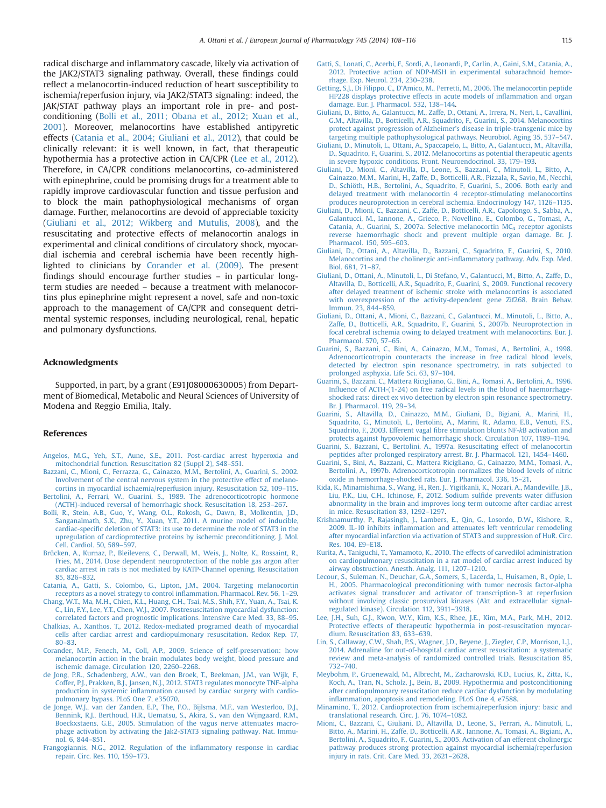<span id="page-7-0"></span>radical discharge and inflammatory cascade, likely via activation of the JAK2/STAT3 signaling pathway. Overall, these findings could reflect a melanocortin-induced reduction of heart susceptibility to ischemia/reperfusion injury, via JAK2/STAT3 signaling: indeed, the JAK/STAT pathway plays an important role in pre- and postconditioning ([Bolli et al., 2011; Obana et al., 2012; Xuan et al.,](#page-8-0) [2001\)](#page-8-0). Moreover, melanocortins have established antipyretic effects (Catania et al., 2004; Giuliani et al., 2012), that could be clinically relevant: it is well known, in fact, that therapeutic hypothermia has a protective action in CA/CPR (Lee et al., 2012). Therefore, in CA/CPR conditions melanocortins, co-administered with epinephrine, could be promising drugs for a treatment able to rapidly improve cardiovascular function and tissue perfusion and to block the main pathophysiological mechanisms of organ damage. Further, melanocortins are devoid of appreciable toxicity ([Giuliani et al., 2012; Wikberg and Mutulis, 2008\)](#page-8-0), and the resuscitating and protective effects of melanocortin analogs in experimental and clinical conditions of circulatory shock, myocardial ischemia and cerebral ischemia have been recently highlighted to clinicians by Corander et al. (2009). The present findings should encourage further studies – in particular longterm studies are needed – because a treatment with melanocortins plus epinephrine might represent a novel, safe and non-toxic approach to the management of CA/CPR and consequent detrimental systemic responses, including neurological, renal, hepatic and pulmonary dysfunctions.

### Acknowledgments

Supported, in part, by a grant (E91J08000630005) from Department of Biomedical, Metabolic and Neural Sciences of University of Modena and Reggio Emilia, Italy.

### References

- [Angelos, M.G., Yeh, S.T., Aune, S.E., 2011. Post-cardiac arrest hyperoxia and](http://refhub.elsevier.com/S0014-2999(14)00729-8/sbref1) [mitochondrial function. Resuscitation 82 \(Suppl 2\), S48](http://refhub.elsevier.com/S0014-2999(14)00729-8/sbref1)–S51.
- [Bazzani, C., Mioni, C., Ferrazza, G., Cainazzo, M.M., Bertolini, A., Guarini, S., 2002.](http://refhub.elsevier.com/S0014-2999(14)00729-8/sbref2) [Involvement of the central nervous system in the protective effect of melano](http://refhub.elsevier.com/S0014-2999(14)00729-8/sbref2)[cortins in myocardial ischaemia/reperfusion injury. Resuscitation 52, 109](http://refhub.elsevier.com/S0014-2999(14)00729-8/sbref2)–115.
- [Bertolini, A., Ferrari, W., Guarini, S., 1989. The adrenocorticotropic hormone](http://refhub.elsevier.com/S0014-2999(14)00729-8/sbref3) [\(ACTH\)-induced reversal of hemorrhagic shock. Resuscitation 18, 253](http://refhub.elsevier.com/S0014-2999(14)00729-8/sbref3)–267.
- [Bolli, R., Stein, A.B., Guo, Y., Wang, O.L., Rokosh, G., Dawn, B., Molkentin, J.D.,](http://refhub.elsevier.com/S0014-2999(14)00729-8/sbref4) [Sanganalmath, S.K., Zhu, Y., Xuan, Y.T., 2011. A murine model of inducible,](http://refhub.elsevier.com/S0014-2999(14)00729-8/sbref4) cardiac-specifi[c deletion of STAT3: its use to determine the role of STAT3 in the](http://refhub.elsevier.com/S0014-2999(14)00729-8/sbref4) [upregulation of cardioprotective proteins by ischemic preconditioning. J. Mol.](http://refhub.elsevier.com/S0014-2999(14)00729-8/sbref4) [Cell. Cardiol. 50, 589](http://refhub.elsevier.com/S0014-2999(14)00729-8/sbref4)–597.
- [Brücken, A., Kurnaz, P., Bleilevens, C., Derwall, M., Weis, J., Nolte, K., Rossaint, R.,](http://refhub.elsevier.com/S0014-2999(14)00729-8/sbref5) [Fries, M., 2014. Dose dependent neuroprotection of the noble gas argon after](http://refhub.elsevier.com/S0014-2999(14)00729-8/sbref5) [cardiac arrest in rats is not mediated by KATP-Channel opening. Resuscitation](http://refhub.elsevier.com/S0014-2999(14)00729-8/sbref5) [85, 826](http://refhub.elsevier.com/S0014-2999(14)00729-8/sbref5)–832.
- [Catania, A., Gatti, S., Colombo, G., Lipton, J.M., 2004. Targeting melanocortin](http://refhub.elsevier.com/S0014-2999(14)00729-8/sbref6) [receptors as a novel strategy to control in](http://refhub.elsevier.com/S0014-2999(14)00729-8/sbref6)flammation. Pharmacol. Rev. 56, 1–29.
- [Chang, W.T., Ma, M.H., Chien, K.L., Huang, C.H., Tsai, M.S., Shih, F.Y., Yuan, A., Tsai, K.](http://refhub.elsevier.com/S0014-2999(14)00729-8/sbref7) [C., Lin, F.Y., Lee, Y.T., Chen, W.J., 2007. Postresuscitation myocardial dysfunction:](http://refhub.elsevier.com/S0014-2999(14)00729-8/sbref7) [correlated factors and prognostic implications. Intensive Care Med. 33, 88](http://refhub.elsevier.com/S0014-2999(14)00729-8/sbref7)–95.
- [Chalkias, A., Xanthos, T., 2012. Redox-mediated programed death of myocardial](http://refhub.elsevier.com/S0014-2999(14)00729-8/sbref8) [cells after cardiac arrest and cardiopulmonary resuscitation. Redox Rep. 17,](http://refhub.elsevier.com/S0014-2999(14)00729-8/sbref8) 80–[83.](http://refhub.elsevier.com/S0014-2999(14)00729-8/sbref8)
- [Corander, M.P., Fenech, M., Coll, A.P., 2009. Science of self-preservation: how](http://refhub.elsevier.com/S0014-2999(14)00729-8/sbref9) [melanocortin action in the brain modulates body weight, blood pressure and](http://refhub.elsevier.com/S0014-2999(14)00729-8/sbref9) [ischemic damage. Circulation 120, 2260](http://refhub.elsevier.com/S0014-2999(14)00729-8/sbref9)–2268.
- [de Jong, P.R., Schadenberg, A.W., van den Broek, T., Beekman, J.M., van Wijk, F.,](http://refhub.elsevier.com/S0014-2999(14)00729-8/sbref10) [Coffer, P.J., Prakken, B.J., Jansen, N.J., 2012. STAT3 regulates monocyte TNF-alpha](http://refhub.elsevier.com/S0014-2999(14)00729-8/sbref10) production in systemic infl[ammation caused by cardiac surgery with cardio](http://refhub.elsevier.com/S0014-2999(14)00729-8/sbref10)[pulmonary bypass. PLoS One 7, e35070.](http://refhub.elsevier.com/S0014-2999(14)00729-8/sbref10)
- [de Jonge, W.J., van der Zanden, E.P., The, F.O., Bijlsma, M.F., van Westerloo, D.J.,](http://refhub.elsevier.com/S0014-2999(14)00729-8/sbref11) [Bennink, R.J., Berthoud, H.R., Uematsu, S., Akira, S., van den Wijngaard, R.M.,](http://refhub.elsevier.com/S0014-2999(14)00729-8/sbref11) [Boeckxstaens, G.E., 2005. Stimulation of the vagus nerve attenuates macro](http://refhub.elsevier.com/S0014-2999(14)00729-8/sbref11)[phage activation by activating the Jak2-STAT3 signaling pathway. Nat. Immu](http://refhub.elsevier.com/S0014-2999(14)00729-8/sbref11)[nol. 6, 844](http://refhub.elsevier.com/S0014-2999(14)00729-8/sbref11)–851.
- [Frangogiannis, N.G., 2012. Regulation of the in](http://refhub.elsevier.com/S0014-2999(14)00729-8/sbref12)flammatory response in cardiac [repair. Circ. Res. 110, 159](http://refhub.elsevier.com/S0014-2999(14)00729-8/sbref12)–173.
- [Gatti, S., Lonati, C., Acerbi, F., Sordi, A., Leonardi, P., Carlin, A., Gaini, S.M., Catania, A.,](http://refhub.elsevier.com/S0014-2999(14)00729-8/sbref13) [2012. Protective action of NDP-MSH in experimental subarachnoid hemor](http://refhub.elsevier.com/S0014-2999(14)00729-8/sbref13)[rhage. Exp. Neurol. 234, 230](http://refhub.elsevier.com/S0014-2999(14)00729-8/sbref13)–238.
- Getting, S.J., Di Filippo, C., D'[Amico, M., Perretti, M., 2006. The melanocortin peptide](http://refhub.elsevier.com/S0014-2999(14)00729-8/sbref14) [HP228 displays protective effects in acute models of in](http://refhub.elsevier.com/S0014-2999(14)00729-8/sbref14)flammation and organ [damage. Eur. J. Pharmacol. 532, 138](http://refhub.elsevier.com/S0014-2999(14)00729-8/sbref14)–144.
- [Giuliani, D., Bitto, A., Galantucci, M., Zaffe, D., Ottani, A., Irrera, N., Neri, L., Cavallini,](http://refhub.elsevier.com/S0014-2999(14)00729-8/sbref15) [G.M., Altavilla, D., Botticelli, A.R., Squadrito, F., Guarini, S., 2014. Melanocortins](http://refhub.elsevier.com/S0014-2999(14)00729-8/sbref15) [protect against progression of Alzheimer's disease in triple-transgenic mice by](http://refhub.elsevier.com/S0014-2999(14)00729-8/sbref15) [targeting multiple pathophysiological pathways. Neurobiol. Aging 35, 537](http://refhub.elsevier.com/S0014-2999(14)00729-8/sbref15)–547.
- [Giuliani, D., Minutoli, L., Ottani, A., Spaccapelo, L., Bitto, A., Galantucci, M., Altavilla,](http://refhub.elsevier.com/S0014-2999(14)00729-8/sbref16) [D., Squadrito, F., Guarini, S., 2012. Melanocortins as potential therapeutic agents](http://refhub.elsevier.com/S0014-2999(14)00729-8/sbref16) [in severe hypoxic conditions. Front. Neuroendocrinol. 33, 179](http://refhub.elsevier.com/S0014-2999(14)00729-8/sbref16)–193.
- [Giuliani, D., Mioni, C., Altavilla, D., Leone, S., Bazzani, C., Minutoli, L., Bitto, A.,](http://refhub.elsevier.com/S0014-2999(14)00729-8/sbref17) [Cainazzo, M.M., Marini, H., Zaffe, D., Botticelli, A.R., Pizzala, R., Savio, M., Necchi,](http://refhub.elsevier.com/S0014-2999(14)00729-8/sbref17) [D., Schiöth, H.B., Bertolini, A., Squadrito, F, Guarini, S., 2006. Both early and](http://refhub.elsevier.com/S0014-2999(14)00729-8/sbref17) [delayed treatment with melanocortin 4 receptor-stimulating melanocortins](http://refhub.elsevier.com/S0014-2999(14)00729-8/sbref17) [produces neuroprotection in cerebral ischemia. Endocrinology 147, 1126](http://refhub.elsevier.com/S0014-2999(14)00729-8/sbref17)–1135.
- [Giuliani, D., Mioni, C., Bazzani, C., Zaffe, D., Botticelli, A.R., Capolongo, S., Sabba, A.,](http://refhub.elsevier.com/S0014-2999(14)00729-8/sbref18) [Galantucci, M., Iannone, A., Grieco, P., Novellino, E., Colombo, G., Tomasi, A.,](http://refhub.elsevier.com/S0014-2999(14)00729-8/sbref18) Catania, A., Guarini, S., 2007a. Selective melanocortin MC<sub>4</sub> [receptor agonists](http://refhub.elsevier.com/S0014-2999(14)00729-8/sbref18) [reverse haemorrhagic shock and prevent multiple organ damage. Br. J.](http://refhub.elsevier.com/S0014-2999(14)00729-8/sbref18) [Pharmacol. 150, 595](http://refhub.elsevier.com/S0014-2999(14)00729-8/sbref18)–603.
- [Giuliani, D., Ottani, A., Altavilla, D., Bazzani, C., Squadrito, F., Guarini, S., 2010.](http://refhub.elsevier.com/S0014-2999(14)00729-8/sbref19) [Melanocortins and the cholinergic anti-in](http://refhub.elsevier.com/S0014-2999(14)00729-8/sbref19)flammatory pathway. Adv. Exp. Med. [Biol. 681, 71](http://refhub.elsevier.com/S0014-2999(14)00729-8/sbref19)–87.
- [Giuliani, D., Ottani, A., Minutoli, L., Di Stefano, V., Galantucci, M., Bitto, A., Zaffe, D.,](http://refhub.elsevier.com/S0014-2999(14)00729-8/sbref20) [Altavilla, D., Botticelli, A.R., Squadrito, F., Guarini, S., 2009. Functional recovery](http://refhub.elsevier.com/S0014-2999(14)00729-8/sbref20) [after delayed treatment of ischemic stroke with melanocortins is associated](http://refhub.elsevier.com/S0014-2999(14)00729-8/sbref20) [with overexpression of the activity-dependent gene Zif268. Brain Behav.](http://refhub.elsevier.com/S0014-2999(14)00729-8/sbref20) [Immun. 23, 844](http://refhub.elsevier.com/S0014-2999(14)00729-8/sbref20)–859.
- [Giuliani, D., Ottani, A., Mioni, C., Bazzani, C., Galantucci, M., Minutoli, L., Bitto, A.,](http://refhub.elsevier.com/S0014-2999(14)00729-8/sbref21) [Zaffe, D., Botticelli, A.R., Squadrito, F., Guarini, S., 2007b. Neuroprotection in](http://refhub.elsevier.com/S0014-2999(14)00729-8/sbref21) [focal cerebral ischemia owing to delayed treatment with melanocortins. Eur. J.](http://refhub.elsevier.com/S0014-2999(14)00729-8/sbref21) [Pharmacol. 570, 57](http://refhub.elsevier.com/S0014-2999(14)00729-8/sbref21)–65.
- [Guarini, S., Bazzani, C., Bini, A., Cainazzo, M.M., Tomasi, A., Bertolini, A., 1998.](http://refhub.elsevier.com/S0014-2999(14)00729-8/sbref22) [Adrenocorticotropin counteracts the increase in free radical blood levels,](http://refhub.elsevier.com/S0014-2999(14)00729-8/sbref22) [detected by electron spin resonance spectrometry, in rats subjected to](http://refhub.elsevier.com/S0014-2999(14)00729-8/sbref22) [prolonged asphyxia. Life Sci. 63, 97](http://refhub.elsevier.com/S0014-2999(14)00729-8/sbref22)–104.
- [Guarini, S., Bazzani, C., Mattera Ricigliano, G., Bini, A., Tomasi, A., Bertolini, A., 1996.](http://refhub.elsevier.com/S0014-2999(14)00729-8/sbref23) Infl[uence of ACTH-\(1-24\) on free radical levels in the blood of haemorrhage](http://refhub.elsevier.com/S0014-2999(14)00729-8/sbref23)[shocked rats: direct ex vivo detection by electron spin resonance spectrometry.](http://refhub.elsevier.com/S0014-2999(14)00729-8/sbref23) [Br. J. Pharmacol. 119, 29](http://refhub.elsevier.com/S0014-2999(14)00729-8/sbref23)–34.
- [Guarini, S., Altavilla, D., Cainazzo, M.M., Giuliani, D., Bigiani, A., Marini, H.,](http://refhub.elsevier.com/S0014-2999(14)00729-8/sbref24) [Squadrito, G., Minutoli, L., Bertolini, A., Marini, R., Adamo, E.B., Venuti, F.S.,](http://refhub.elsevier.com/S0014-2999(14)00729-8/sbref24) [Squadrito, F., 2003. Efferent vagal](http://refhub.elsevier.com/S0014-2999(14)00729-8/sbref24) fibre stimulation blunts NF-kB activation and [protects against hypovolemic hemorrhagic shock. Circulation 107, 1189](http://refhub.elsevier.com/S0014-2999(14)00729-8/sbref24)–1194.
- [Guarini, S., Bazzani, C., Bertolini, A., 1997a. Resuscitating effect of melanocortin](http://refhub.elsevier.com/S0014-2999(14)00729-8/sbref25) [peptides after prolonged respiratory arrest. Br. J. Pharmacol. 121, 1454](http://refhub.elsevier.com/S0014-2999(14)00729-8/sbref25)–1460.
- [Guarini, S., Bini, A., Bazzani, C., Mattera Ricigliano, G., Cainazzo, M.M., Tomasi, A.,](http://refhub.elsevier.com/S0014-2999(14)00729-8/sbref26) [Bertolini, A., 1997b. Adrenocorticotropin normalizes the blood levels of nitric](http://refhub.elsevier.com/S0014-2999(14)00729-8/sbref26) [oxide in hemorrhage-shocked rats. Eur. J. Pharmacol. 336, 15](http://refhub.elsevier.com/S0014-2999(14)00729-8/sbref26)–21.
- [Kida, K., Minamishima, S., Wang, H., Ren, J., Yigitkanli, K., Nozari, A., Mandeville, J.B.,](http://refhub.elsevier.com/S0014-2999(14)00729-8/sbref27) [Liu, P.K., Liu, C.H., Ichinose, F., 2012. Sodium sul](http://refhub.elsevier.com/S0014-2999(14)00729-8/sbref27)fide prevents water diffusion [abnormality in the brain and improves long term outcome after cardiac arrest](http://refhub.elsevier.com/S0014-2999(14)00729-8/sbref27) [in mice. Resuscitation 83, 1292](http://refhub.elsevier.com/S0014-2999(14)00729-8/sbref27)–1297.
- [Krishnamurthy, P., Rajasingh, J., Lambers, E., Qin, G., Losordo, D.W., Kishore, R.,](http://refhub.elsevier.com/S0014-2999(14)00729-8/sbref28) 2009. IL-10 inhibits infl[ammation and attenuates left ventricular remodeling](http://refhub.elsevier.com/S0014-2999(14)00729-8/sbref28) [after myocardial infarction via activation of STAT3 and suppression of HuR. Circ.](http://refhub.elsevier.com/S0014-2999(14)00729-8/sbref28) [Res. 104, E9](http://refhub.elsevier.com/S0014-2999(14)00729-8/sbref28)–E18.
- [Kurita, A., Taniguchi, T., Yamamoto, K., 2010. The effects of carvedilol administration](http://refhub.elsevier.com/S0014-2999(14)00729-8/sbref29) [on cardiopulmonary resuscitation in a rat model of cardiac arrest induced by](http://refhub.elsevier.com/S0014-2999(14)00729-8/sbref29) [airway obstruction. Anesth. Analg. 111, 1207](http://refhub.elsevier.com/S0014-2999(14)00729-8/sbref29)–1210.
- [Lecour, S., Suleman, N., Deuchar, G.A., Somers, S., Lacerda, L., Huisamen, B., Opie, L.](http://refhub.elsevier.com/S0014-2999(14)00729-8/sbref30) [H., 2005. Pharmacological preconditioning with tumor necrosis factor-alpha](http://refhub.elsevier.com/S0014-2999(14)00729-8/sbref30) [activates signal transducer and activator of transcription-3 at reperfusion](http://refhub.elsevier.com/S0014-2999(14)00729-8/sbref30) [without involving classic prosurvival kinases \(Akt and extracellular signal](http://refhub.elsevier.com/S0014-2999(14)00729-8/sbref30)[regulated kinase\). Circulation 112, 3911](http://refhub.elsevier.com/S0014-2999(14)00729-8/sbref30)–3918.
- [Lee, J.H., Suh, G.J., Kwon, W.Y., Kim, K.S., Rhee, J.E., Kim, M.A., Park, M.H., 2012.](http://refhub.elsevier.com/S0014-2999(14)00729-8/sbref31) [Protective effects of therapeutic hypothermia in post-resuscitation myocar](http://refhub.elsevier.com/S0014-2999(14)00729-8/sbref31)[dium. Resuscitation 83, 633](http://refhub.elsevier.com/S0014-2999(14)00729-8/sbref31)–639.
- [Lin, S., Callaway, C.W., Shah, P.S., Wagner, J.D., Beyene, J., Ziegler, C.P., Morrison, L.J.,](http://refhub.elsevier.com/S0014-2999(14)00729-8/sbref32) [2014. Adrenaline for out-of-hospital cardiac arrest resuscitation: a systematic](http://refhub.elsevier.com/S0014-2999(14)00729-8/sbref32) [review and meta-analysis of randomized controlled trials. Resuscitation 85,](http://refhub.elsevier.com/S0014-2999(14)00729-8/sbref32) 732–[740.](http://refhub.elsevier.com/S0014-2999(14)00729-8/sbref32)
- [Meybohm, P., Gruenewald, M., Albrecht, M., Zacharowski, K.D., Lucius, R., Zitta, K.,](http://refhub.elsevier.com/S0014-2999(14)00729-8/sbref33) [Koch, A., Tran, N., Scholz, J., Bein, B., 2009. Hypothermia and postconditioning](http://refhub.elsevier.com/S0014-2999(14)00729-8/sbref33) [after cardiopulmonary resuscitation reduce cardiac dysfunction by modulating](http://refhub.elsevier.com/S0014-2999(14)00729-8/sbref33) infl[ammation, apoptosis and remodeling. PLoS One 4, e7588.](http://refhub.elsevier.com/S0014-2999(14)00729-8/sbref33)
- [Minamino, T., 2012. Cardioprotection from ischemia/reperfusion injury: basic and](http://refhub.elsevier.com/S0014-2999(14)00729-8/sbref34) [translational research. Circ. J. 76, 1074](http://refhub.elsevier.com/S0014-2999(14)00729-8/sbref34)–1082.
- [Mioni, C., Bazzani, C., Giuliani, D., Altavilla, D., Leone, S., Ferrari, A., Minutoli, L.,](http://refhub.elsevier.com/S0014-2999(14)00729-8/sbref35) [Bitto, A., Marini, H., Zaffe, D., Botticelli, A.R., Iannone, A., Tomasi, A., Bigiani, A.,](http://refhub.elsevier.com/S0014-2999(14)00729-8/sbref35) [Bertolini, A., Squadrito, F., Guarini, S., 2005. Activation of an efferent cholinergic](http://refhub.elsevier.com/S0014-2999(14)00729-8/sbref35) [pathway produces strong protection against myocardial ischemia/reperfusion](http://refhub.elsevier.com/S0014-2999(14)00729-8/sbref35) [injury in rats. Crit. Care Med. 33, 2621](http://refhub.elsevier.com/S0014-2999(14)00729-8/sbref35)–2628.